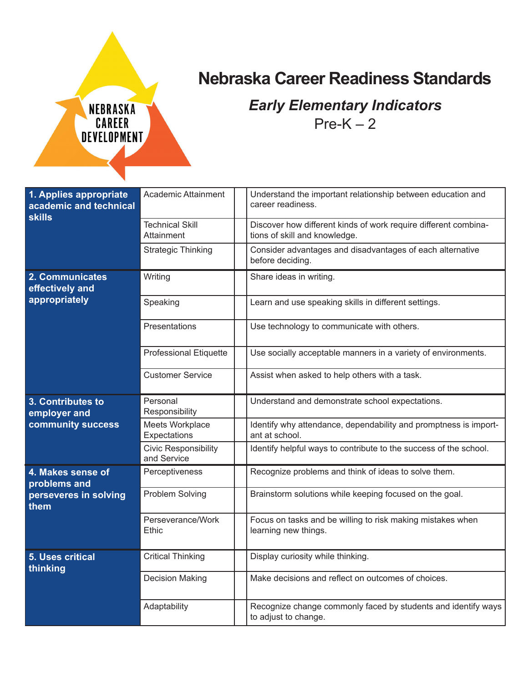

## **Nebraska Career Readiness Standards**

## *Early Elementary Indicators*  $Pre-K - 2$

| 1. Applies appropriate<br>academic and technical<br><b>skills</b> | Academic Attainment                        | Understand the important relationship between education and<br>career readiness.                 |
|-------------------------------------------------------------------|--------------------------------------------|--------------------------------------------------------------------------------------------------|
|                                                                   | <b>Technical Skill</b><br>Attainment       | Discover how different kinds of work require different combina-<br>tions of skill and knowledge. |
|                                                                   | <b>Strategic Thinking</b>                  | Consider advantages and disadvantages of each alternative<br>before deciding.                    |
| 2. Communicates<br>effectively and                                | Writing                                    | Share ideas in writing.                                                                          |
| appropriately                                                     | Speaking                                   | Learn and use speaking skills in different settings.                                             |
|                                                                   | Presentations                              | Use technology to communicate with others.                                                       |
|                                                                   | <b>Professional Etiquette</b>              | Use socially acceptable manners in a variety of environments.                                    |
|                                                                   | <b>Customer Service</b>                    | Assist when asked to help others with a task.                                                    |
| 3. Contributes to<br>employer and                                 | Personal<br>Responsibility                 | Understand and demonstrate school expectations.                                                  |
| community success                                                 | Meets Workplace<br>Expectations            | Identify why attendance, dependability and promptness is import-<br>ant at school.               |
|                                                                   | <b>Civic Responsibility</b><br>and Service | Identify helpful ways to contribute to the success of the school.                                |
| 4. Makes sense of<br>problems and                                 | Perceptiveness                             | Recognize problems and think of ideas to solve them.                                             |
| perseveres in solving<br>them                                     | Problem Solving                            | Brainstorm solutions while keeping focused on the goal.                                          |
|                                                                   | Perseverance/Work<br>Ethic                 | Focus on tasks and be willing to risk making mistakes when<br>learning new things.               |
| <b>5. Uses critical</b><br>thinking                               | <b>Critical Thinking</b>                   | Display curiosity while thinking.                                                                |
|                                                                   | <b>Decision Making</b>                     | Make decisions and reflect on outcomes of choices.                                               |
|                                                                   | Adaptability                               | Recognize change commonly faced by students and identify ways<br>to adjust to change.            |